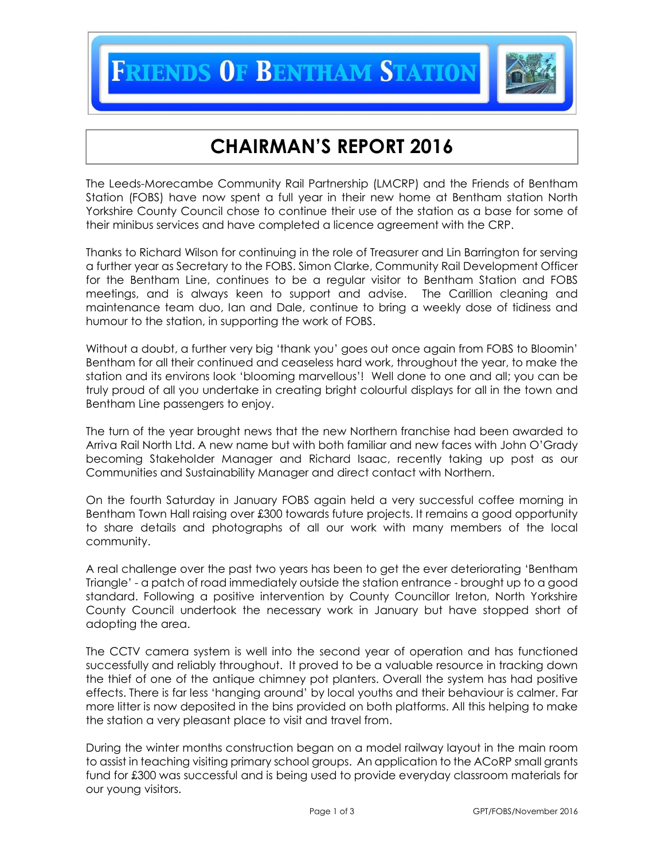**IENDS OF BENTHAM STATION** 



## **CHAIRMAN'S REPORT 2016**

The Leeds-Morecambe Community Rail Partnership (LMCRP) and the Friends of Bentham Station (FOBS) have now spent a full year in their new home at Bentham station North Yorkshire County Council chose to continue their use of the station as a base for some of their minibus services and have completed a licence agreement with the CRP.

Thanks to Richard Wilson for continuing in the role of Treasurer and Lin Barrington for serving a further year as Secretary to the FOBS. Simon Clarke, Community Rail Development Officer for the Bentham Line, continues to be a regular visitor to Bentham Station and FOBS meetings, and is always keen to support and advise. The Carillion cleaning and maintenance team duo, Ian and Dale, continue to bring a weekly dose of tidiness and humour to the station, in supporting the work of FOBS.

Without a doubt, a further very big 'thank you' goes out once again from FOBS to Bloomin' Bentham for all their continued and ceaseless hard work, throughout the year, to make the station and its environs look 'blooming marvellous'! Well done to one and all; you can be truly proud of all you undertake in creating bright colourful displays for all in the town and Bentham Line passengers to enjoy.

The turn of the year brought news that the new Northern franchise had been awarded to Arriva Rail North Ltd. A new name but with both familiar and new faces with John O'Grady becoming Stakeholder Manager and Richard Isaac, recently taking up post as our Communities and Sustainability Manager and direct contact with Northern.

On the fourth Saturday in January FOBS again held a very successful coffee morning in Bentham Town Hall raising over £300 towards future projects. It remains a good opportunity to share details and photographs of all our work with many members of the local community.

A real challenge over the past two years has been to get the ever deteriorating 'Bentham Triangle' - a patch of road immediately outside the station entrance - brought up to a good standard. Following a positive intervention by County Councillor Ireton, North Yorkshire County Council undertook the necessary work in January but have stopped short of adopting the area.

The CCTV camera system is well into the second year of operation and has functioned successfully and reliably throughout. It proved to be a valuable resource in tracking down the thief of one of the antique chimney pot planters. Overall the system has had positive effects. There is far less 'hanging around' by local youths and their behaviour is calmer. Far more litter is now deposited in the bins provided on both platforms. All this helping to make the station a very pleasant place to visit and travel from.

During the winter months construction began on a model railway layout in the main room to assist in teaching visiting primary school groups. An application to the ACoRP small grants fund for £300 was successful and is being used to provide everyday classroom materials for our young visitors.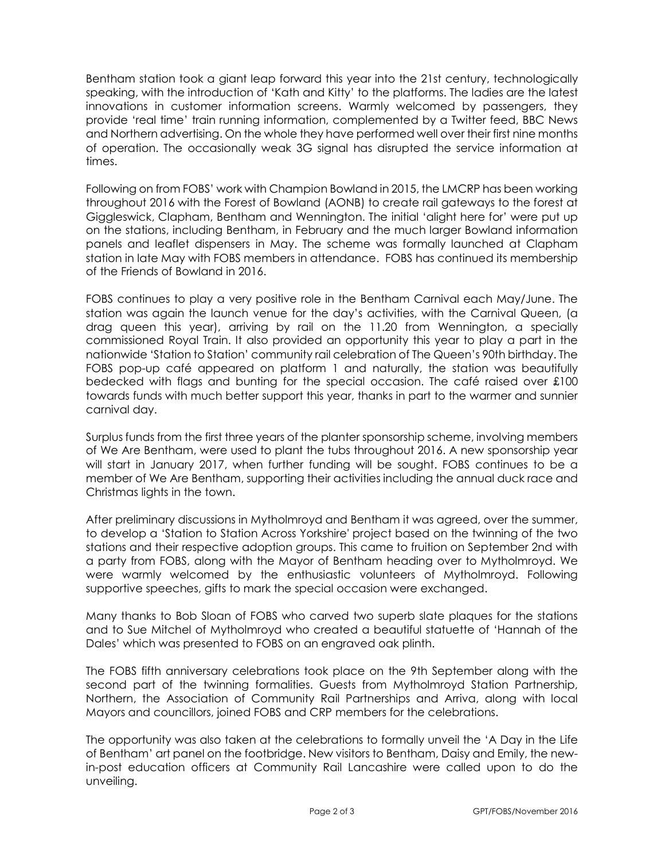Bentham station took a giant leap forward this year into the 21st century, technologically speaking, with the introduction of 'Kath and Kitty' to the platforms. The ladies are the latest innovations in customer information screens. Warmly welcomed by passengers, they provide 'real time' train running information, complemented by a Twitter feed, BBC News and Northern advertising. On the whole they have performed well over their first nine months of operation. The occasionally weak 3G signal has disrupted the service information at times.

Following on from FOBS' work with Champion Bowland in 2015, the LMCRP has been working throughout 2016 with the Forest of Bowland (AONB) to create rail gateways to the forest at Giggleswick, Clapham, Bentham and Wennington. The initial 'alight here for' were put up on the stations, including Bentham, in February and the much larger Bowland information panels and leaflet dispensers in May. The scheme was formally launched at Clapham station in late May with FOBS members in attendance. FOBS has continued its membership of the Friends of Bowland in 2016.

FOBS continues to play a very positive role in the Bentham Carnival each May/June. The station was again the launch venue for the day's activities, with the Carnival Queen, (a drag queen this year), arriving by rail on the 11.20 from Wennington, a specially commissioned Royal Train. It also provided an opportunity this year to play a part in the nationwide 'Station to Station' community rail celebration of The Queen's 90th birthday. The FOBS pop-up café appeared on platform 1 and naturally, the station was beautifully bedecked with flags and bunting for the special occasion. The café raised over £100 towards funds with much better support this year, thanks in part to the warmer and sunnier carnival day.

Surplus funds from the first three years of the planter sponsorship scheme, involving members of We Are Bentham, were used to plant the tubs throughout 2016. A new sponsorship year will start in January 2017, when further funding will be sought. FOBS continues to be a member of We Are Bentham, supporting their activities including the annual duck race and Christmas lights in the town.

After preliminary discussions in Mytholmroyd and Bentham it was agreed, over the summer, to develop a 'Station to Station Across Yorkshire' project based on the twinning of the two stations and their respective adoption groups. This came to fruition on September 2nd with a party from FOBS, along with the Mayor of Bentham heading over to Mytholmroyd. We were warmly welcomed by the enthusiastic volunteers of Mytholmroyd. Following supportive speeches, gifts to mark the special occasion were exchanged.

Many thanks to Bob Sloan of FOBS who carved two superb slate plaques for the stations and to Sue Mitchel of Mytholmroyd who created a beautiful statuette of 'Hannah of the Dales' which was presented to FOBS on an engraved oak plinth.

The FOBS fifth anniversary celebrations took place on the 9th September along with the second part of the twinning formalities. Guests from Mytholmroyd Station Partnership, Northern, the Association of Community Rail Partnerships and Arriva, along with local Mayors and councillors, joined FOBS and CRP members for the celebrations.

The opportunity was also taken at the celebrations to formally unveil the 'A Day in the Life of Bentham' art panel on the footbridge. New visitors to Bentham, Daisy and Emily, the newin-post education officers at Community Rail Lancashire were called upon to do the unveiling.